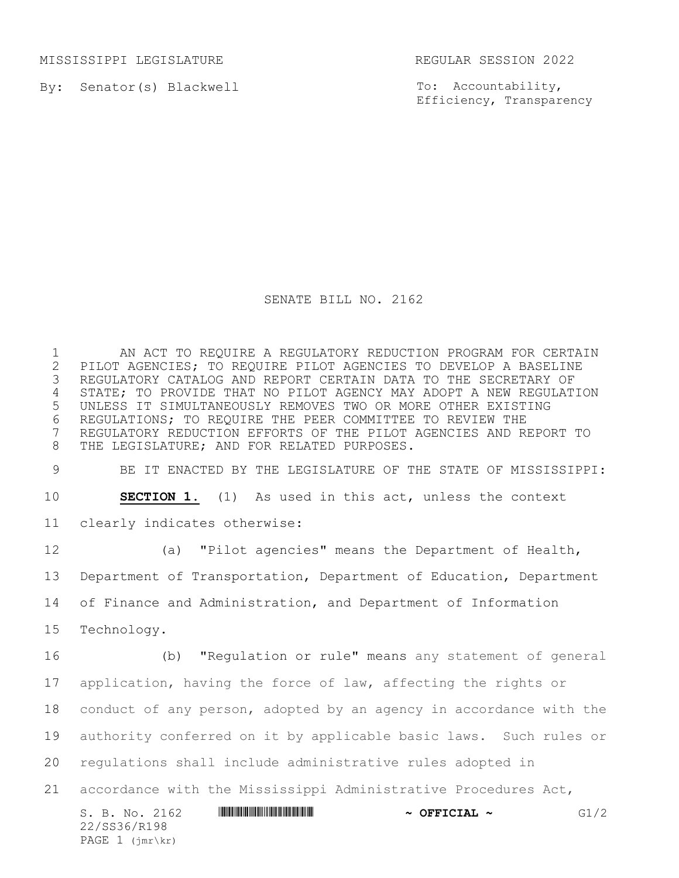MISSISSIPPI LEGISLATURE REGULAR SESSION 2022

By: Senator(s) Blackwell

To: Accountability, Efficiency, Transparency

## SENATE BILL NO. 2162

 AN ACT TO REQUIRE A REGULATORY REDUCTION PROGRAM FOR CERTAIN 2 PILOT AGENCIES; TO REQUIRE PILOT AGENCIES TO DEVELOP A BASELINE<br>3 REGULATORY CATALOG AND REPORT CERTAIN DATA TO THE SECRETARY OF REGULATORY CATALOG AND REPORT CERTAIN DATA TO THE SECRETARY OF STATE; TO PROVIDE THAT NO PILOT AGENCY MAY ADOPT A NEW REGULATION UNLESS IT SIMULTANEOUSLY REMOVES TWO OR MORE OTHER EXISTING REGULATIONS; TO REQUIRE THE PEER COMMITTEE TO REVIEW THE REGULATORY REDUCTION EFFORTS OF THE PILOT AGENCIES AND REPORT TO 8 THE LEGISLATURE; AND FOR RELATED PURPOSES.

BE IT ENACTED BY THE LEGISLATURE OF THE STATE OF MISSISSIPPI:

**SECTION 1.** (1) As used in this act, unless the context

clearly indicates otherwise:

22/SS36/R198 PAGE 1 (jmr\kr)

 (a) "Pilot agencies" means the Department of Health, Department of Transportation, Department of Education, Department of Finance and Administration, and Department of Information Technology.

S. B. No. 2162 **\*\*\* AND \*\*\* THE \*\*\* \*\*\* \*\*\* \*\*\* +\*\*** G1/2 (b) "Regulation or rule" means any statement of general application, having the force of law, affecting the rights or conduct of any person, adopted by an agency in accordance with the authority conferred on it by applicable basic laws. Such rules or regulations shall include administrative rules adopted in accordance with the Mississippi Administrative Procedures Act,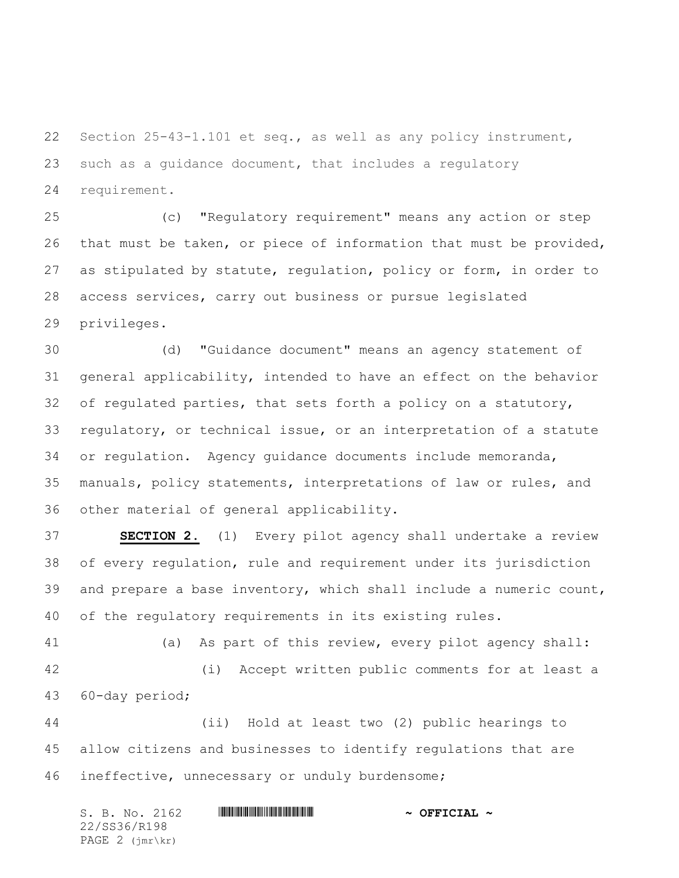Section 25-43-1.101 et seq., as well as any policy instrument, such as a guidance document, that includes a regulatory requirement.

 (c) "Regulatory requirement" means any action or step that must be taken, or piece of information that must be provided, as stipulated by statute, regulation, policy or form, in order to access services, carry out business or pursue legislated privileges.

 (d) "Guidance document" means an agency statement of general applicability, intended to have an effect on the behavior of regulated parties, that sets forth a policy on a statutory, regulatory, or technical issue, or an interpretation of a statute or regulation. Agency guidance documents include memoranda, manuals, policy statements, interpretations of law or rules, and other material of general applicability.

 **SECTION 2.** (1) Every pilot agency shall undertake a review of every regulation, rule and requirement under its jurisdiction and prepare a base inventory, which shall include a numeric count, of the regulatory requirements in its existing rules.

 (a) As part of this review, every pilot agency shall: (i) Accept written public comments for at least a 60-day period;

 (ii) Hold at least two (2) public hearings to allow citizens and businesses to identify regulations that are ineffective, unnecessary or unduly burdensome;

S. B. No. 2162 **\*\*\* AND \*\*\* AND \*\*\* AND \*\*\* AND \*\*\* OFFICIAL \*\*** 22/SS36/R198 PAGE 2 (jmr\kr)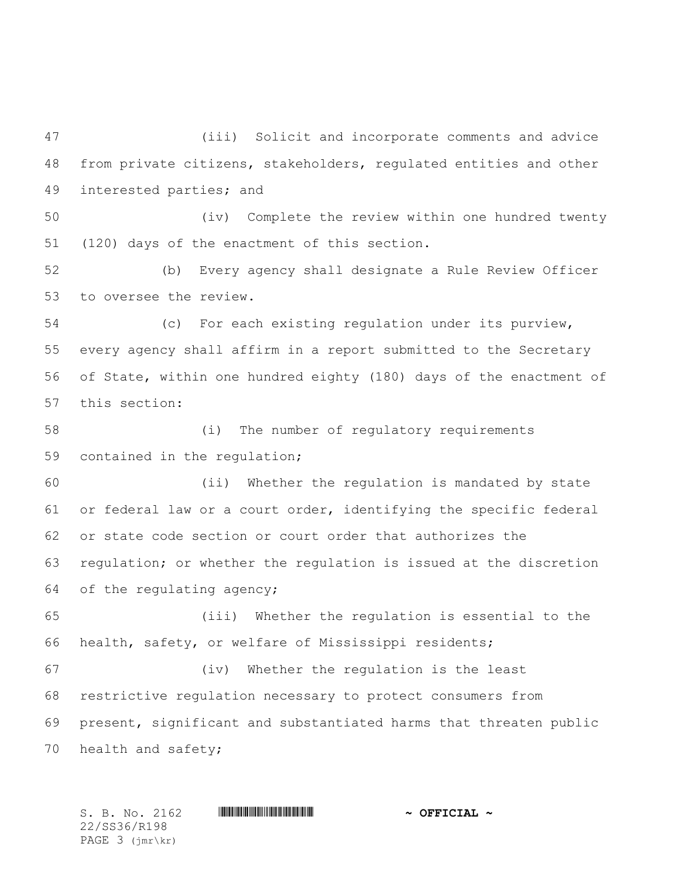(iii) Solicit and incorporate comments and advice from private citizens, stakeholders, regulated entities and other interested parties; and

 (iv) Complete the review within one hundred twenty (120) days of the enactment of this section.

 (b) Every agency shall designate a Rule Review Officer to oversee the review.

 (c) For each existing regulation under its purview, every agency shall affirm in a report submitted to the Secretary of State, within one hundred eighty (180) days of the enactment of this section:

 (i) The number of regulatory requirements contained in the regulation;

 (ii) Whether the regulation is mandated by state or federal law or a court order, identifying the specific federal or state code section or court order that authorizes the regulation; or whether the regulation is issued at the discretion of the regulating agency;

 (iii) Whether the regulation is essential to the health, safety, or welfare of Mississippi residents;

 (iv) Whether the regulation is the least restrictive regulation necessary to protect consumers from present, significant and substantiated harms that threaten public health and safety;

 $S. B. No. 2162$  **\*Soft and the substitution of the set of**  $\sim$  **OFFICIAL**  $\sim$ 22/SS36/R198 PAGE 3 (jmr\kr)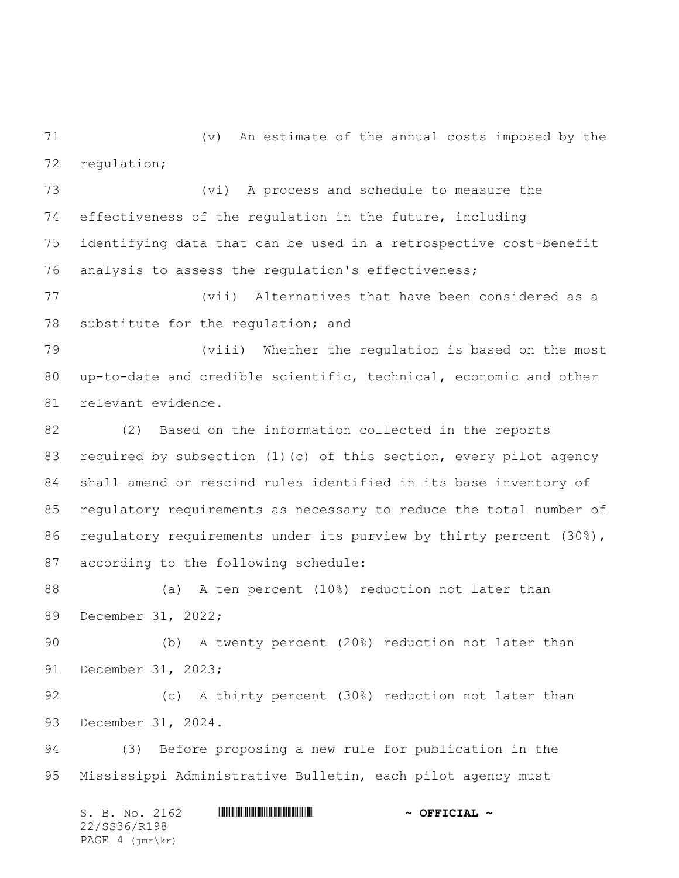(v) An estimate of the annual costs imposed by the regulation;

 (vi) A process and schedule to measure the effectiveness of the regulation in the future, including identifying data that can be used in a retrospective cost-benefit analysis to assess the regulation's effectiveness;

 (vii) Alternatives that have been considered as a 78 substitute for the regulation; and

 (viii) Whether the regulation is based on the most up-to-date and credible scientific, technical, economic and other relevant evidence.

 (2) Based on the information collected in the reports required by subsection (1)(c) of this section, every pilot agency shall amend or rescind rules identified in its base inventory of regulatory requirements as necessary to reduce the total number of 86 regulatory requirements under its purview by thirty percent (30%), according to the following schedule:

 (a) A ten percent (10%) reduction not later than December 31, 2022;

 (b) A twenty percent (20%) reduction not later than December 31, 2023;

 (c) A thirty percent (30%) reduction not later than December 31, 2024.

 (3) Before proposing a new rule for publication in the Mississippi Administrative Bulletin, each pilot agency must

S. B. No. 2162 **\*\*\* AND \*\*\* AND \*\*\* AND \*\*\* AND \*\*\* OFFICIAL \*\*** 22/SS36/R198 PAGE 4 (jmr\kr)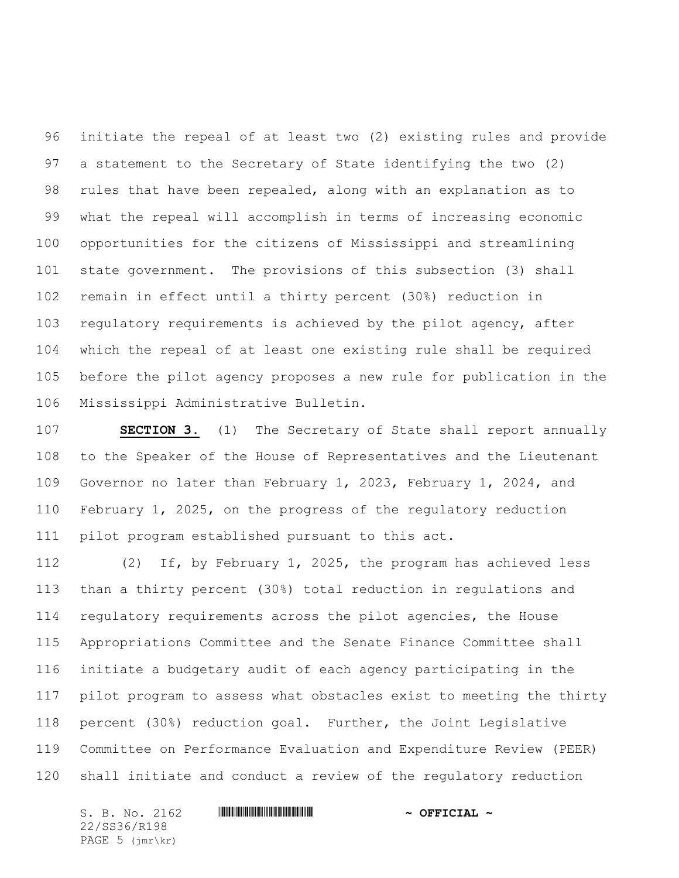initiate the repeal of at least two (2) existing rules and provide a statement to the Secretary of State identifying the two (2) rules that have been repealed, along with an explanation as to what the repeal will accomplish in terms of increasing economic opportunities for the citizens of Mississippi and streamlining state government. The provisions of this subsection (3) shall remain in effect until a thirty percent (30%) reduction in regulatory requirements is achieved by the pilot agency, after which the repeal of at least one existing rule shall be required before the pilot agency proposes a new rule for publication in the Mississippi Administrative Bulletin.

 **SECTION 3.** (1) The Secretary of State shall report annually to the Speaker of the House of Representatives and the Lieutenant Governor no later than February 1, 2023, February 1, 2024, and February 1, 2025, on the progress of the regulatory reduction pilot program established pursuant to this act.

 (2) If, by February 1, 2025, the program has achieved less than a thirty percent (30%) total reduction in regulations and regulatory requirements across the pilot agencies, the House Appropriations Committee and the Senate Finance Committee shall initiate a budgetary audit of each agency participating in the pilot program to assess what obstacles exist to meeting the thirty percent (30%) reduction goal. Further, the Joint Legislative Committee on Performance Evaluation and Expenditure Review (PEER) shall initiate and conduct a review of the regulatory reduction

S. B. No. 2162 **\*\*\* AND \*\*\* AND \*\*\* AND \*\*\* AND \*\*\* OFFICIAL \*\*** 22/SS36/R198 PAGE 5 (jmr\kr)